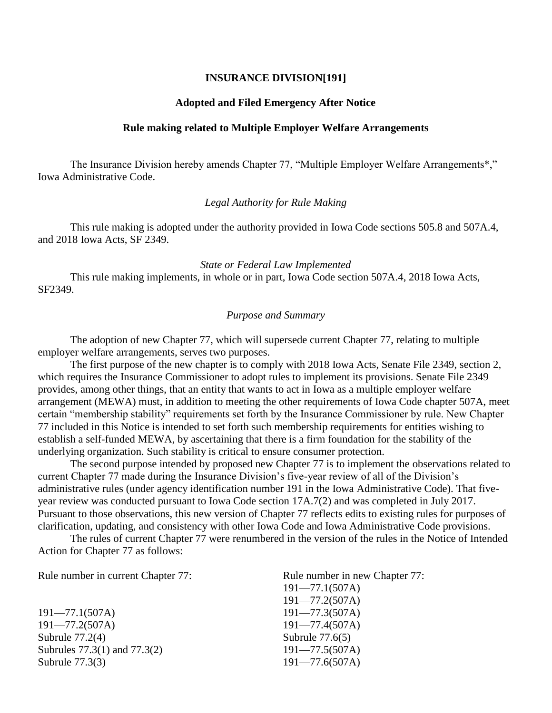# **INSURANCE DIVISION[191]**

#### **Adopted and Filed Emergency After Notice**

## **Rule making related to Multiple Employer Welfare Arrangements**

The Insurance Division hereby amends Chapter 77, "Multiple Employer Welfare Arrangements\*," Iowa Administrative Code.

# *Legal Authority for Rule Making*

This rule making is adopted under the authority provided in Iowa Code sections 505.8 and 507A.4, and 2018 Iowa Acts, SF 2349.

## *State or Federal Law Implemented*

This rule making implements, in whole or in part, Iowa Code section 507A.4, 2018 Iowa Acts, SF2349.

## *Purpose and Summary*

The adoption of new Chapter 77, which will supersede current Chapter 77, relating to multiple employer welfare arrangements, serves two purposes.

The first purpose of the new chapter is to comply with 2018 Iowa Acts, Senate File 2349, section 2, which requires the Insurance Commissioner to adopt rules to implement its provisions. Senate File 2349 provides, among other things, that an entity that wants to act in Iowa as a multiple employer welfare arrangement (MEWA) must, in addition to meeting the other requirements of Iowa Code chapter 507A, meet certain "membership stability" requirements set forth by the Insurance Commissioner by rule. New Chapter 77 included in this Notice is intended to set forth such membership requirements for entities wishing to establish a self-funded MEWA, by ascertaining that there is a firm foundation for the stability of the underlying organization. Such stability is critical to ensure consumer protection.

The second purpose intended by proposed new Chapter 77 is to implement the observations related to current Chapter 77 made during the Insurance Division's five-year review of all of the Division's administrative rules (under agency identification number 191 in the Iowa Administrative Code). That fiveyear review was conducted pursuant to Iowa Code section 17A.7(2) and was completed in July 2017. Pursuant to those observations, this new version of Chapter 77 reflects edits to existing rules for purposes of clarification, updating, and consistency with other Iowa Code and Iowa Administrative Code provisions.

The rules of current Chapter 77 were renumbered in the version of the rules in the Notice of Intended Action for Chapter 77 as follows:

Rule number in current Chapter 77: Rule number in new Chapter 77:

191—77.1(507A) 191—77.3(507A) 191—77.2(507A) 191—77.4(507A) Subrule 77.2(4) Subrule 77.6(5) Subrules 77.3(1) and 77.3(2) 191—77.5(507A) Subrule 77.3(3) 191—77.6(507A)

191—77.1(507A) 191—77.2(507A)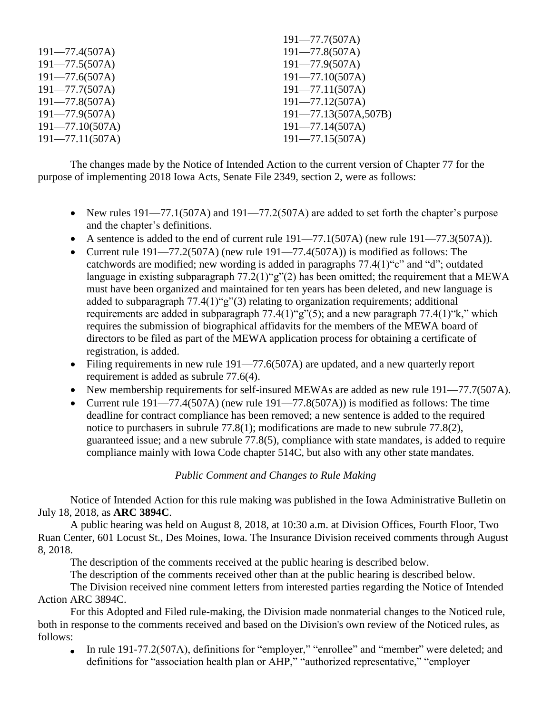|                     | $171 - 11.10011$          |
|---------------------|---------------------------|
| $191 - 77.4(507A)$  | $191 - 77.8(507A)$        |
| $191 - 77.5(507A)$  | $191 - 77.9(507A)$        |
| $191 - 77.6(507A)$  | $191 - 77.10(507A)$       |
| $191 - 77.7(507A)$  | $191 - 77.11(507A)$       |
| $191 - 77.8(507A)$  | $191 - 77.12(507A)$       |
| $191 - 77.9(507A)$  | $191 - 77.13(507A, 507B)$ |
| $191 - 77.10(507A)$ | $191 - 77.14(507A)$       |
| $191 - 77.11(507A)$ | $191 - 77.15(507A)$       |
|                     |                           |

The changes made by the Notice of Intended Action to the current version of Chapter 77 for the purpose of implementing 2018 Iowa Acts, Senate File 2349, section 2, were as follows:

• New rules  $191 - 77.1(507)$  and  $191 - 77.2(507)$  are added to set forth the chapter's purpose and the chapter's definitions.

101  $77.7(507 \text{ A})$ 

- A sentence is added to the end of current rule  $191-77.1(507A)$  (new rule  $191-77.3(507A)$ ).
- Current rule  $191 77.2(507)$  (new rule  $191 77.4(507)$ ) is modified as follows: The catchwords are modified; new wording is added in paragraphs 77.4(1)"c" and "d"; outdated language in existing subparagraph  $77.2(1)$ "g" $(2)$  has been omitted; the requirement that a MEWA must have been organized and maintained for ten years has been deleted, and new language is added to subparagraph 77.4(1)"g"(3) relating to organization requirements; additional requirements are added in subparagraph  $77.4(1)$ "g" $(5)$ ; and a new paragraph  $77.4(1)$ "k," which requires the submission of biographical affidavits for the members of the MEWA board of directors to be filed as part of the MEWA application process for obtaining a certificate of registration, is added.
- Filing requirements in new rule 191—77.6(507A) are updated, and a new quarterly report requirement is added as subrule 77.6(4).
- New membership requirements for self-insured MEWAs are added as new rule 191—77.7(507A).
- Current rule  $191 77.4(507)$  (new rule  $191 77.8(507)$ ) is modified as follows: The time deadline for contract compliance has been removed; a new sentence is added to the required notice to purchasers in subrule 77.8(1); modifications are made to new subrule 77.8(2), guaranteed issue; and a new subrule 77.8(5), compliance with state mandates, is added to require compliance mainly with Iowa Code chapter 514C, but also with any other state mandates.

# *Public Comment and Changes to Rule Making*

Notice of Intended Action for this rule making was published in the Iowa Administrative Bulletin on July 18, 2018, as **ARC 3894C**.

A public hearing was held on August 8, 2018, at 10:30 a.m. at Division Offices, Fourth Floor, Two Ruan Center, 601 Locust St., Des Moines, Iowa. The Insurance Division received comments through August 8, 2018.

The description of the comments received at the public hearing is described below.

The description of the comments received other than at the public hearing is described below.

The Division received nine comment letters from interested parties regarding the Notice of Intended Action ARC 3894C.

For this Adopted and Filed rule-making, the Division made nonmaterial changes to the Noticed rule, both in response to the comments received and based on the Division's own review of the Noticed rules, as follows:

In rule 191-77.2(507A), definitions for "employer," "enrollee" and "member" were deleted; and  $\bullet$ definitions for "association health plan or AHP," "authorized representative," "employer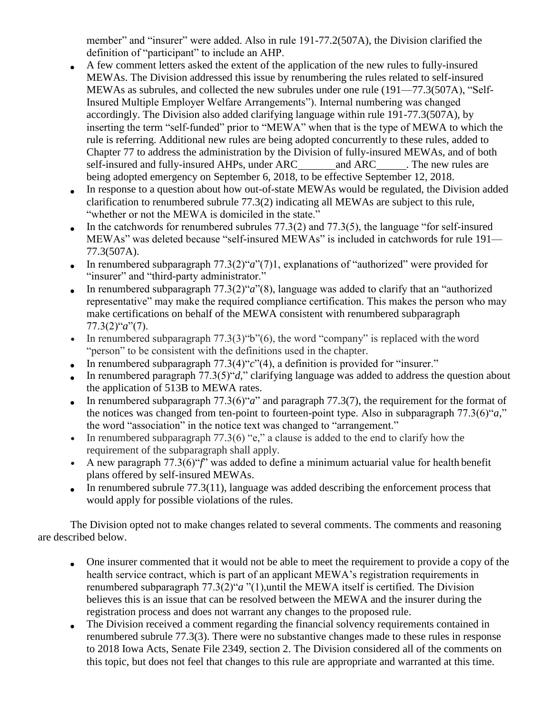member" and "insurer" were added. Also in rule 191-77.2(507A), the Division clarified the definition of "participant" to include an AHP.

- A few comment letters asked the extent of the application of the new rules to fully-insured MEWAs. The Division addressed this issue by renumbering the rules related to self-insured MEWAs as subrules, and collected the new subrules under one rule (191—77.3(507A), "Self-Insured Multiple Employer Welfare Arrangements"). Internal numbering was changed accordingly. The Division also added clarifying language within rule 191-77.3(507A), by inserting the term "self-funded" prior to "MEWA" when that is the type of MEWA to which the rule is referring. Additional new rules are being adopted concurrently to these rules, added to Chapter 77 to address the administration by the Division of fully-insured MEWAs, and of both self-insured and fully-insured AHPs, under ARC and ARC . The new rules are being adopted emergency on September 6, 2018, to be effective September 12, 2018.
- In response to a question about how out-of-state MEWAs would be regulated, the Division added  $\bullet$ clarification to renumbered subrule 77.3(2) indicating all MEWAs are subject to this rule, "whether or not the MEWA is domiciled in the state."
- In the catchwords for renumbered subrules 77.3(2) and 77.3(5), the language "for self-insured MEWAs" was deleted because "self-insured MEWAs" is included in catchwords for rule 191— 77.3(507A).
- In renumbered subparagraph 77.3(2)"*a*"(7)1, explanations of "authorized" were provided for  $\bullet$ "insurer" and "third-party administrator."
- In renumbered subparagraph 77.3(2)"*a*"(8), language was added to clarify that an "authorized  $\bullet$ representative" may make the required compliance certification. This makes the person who may make certifications on behalf of the MEWA consistent with renumbered subparagraph 77.3(2)"*a*"(7).
- In renumbered subparagraph  $77.3(3)$ "b" $(6)$ , the word "company" is replaced with the word "person" to be consistent with the definitions used in the chapter.
- In renumbered subparagraph 77.3(4)"*c*"(4), a definition is provided for "insurer."  $\bullet$
- In renumbered paragraph 77.3(5)"*d,*" clarifying language was added to address the question about the application of 513B to MEWA rates.
- In renumbered subparagraph 77.3(6)"*a*" and paragraph 77.3(7), the requirement for the format of  $\bullet$ the notices was changed from ten-point to fourteen-point type. Also in subparagraph 77.3(6)"*a,*" the word "association" in the notice text was changed to "arrangement."
- In renumbered subparagraph  $77.3(6)$  "e," a clause is added to the end to clarify how the requirement of the subparagraph shall apply.
- A new paragraph  $77.3(6)$ " $\hat{f}$ " was added to define a minimum actuarial value for health benefit plans offered by self-insured MEWAs.
- In renumbered subrule  $77.3(11)$ , language was added describing the enforcement process that would apply for possible violations of the rules.

The Division opted not to make changes related to several comments. The comments and reasoning are described below.

- One insurer commented that it would not be able to meet the requirement to provide a copy of the  $\bullet$ health service contract, which is part of an applicant MEWA's registration requirements in renumbered subparagraph 77.3(2)"*a* "(1),until the MEWA itself is certified. The Division believes this is an issue that can be resolved between the MEWA and the insurer during the registration process and does not warrant any changes to the proposed rule.
- The Division received a comment regarding the financial solvency requirements contained in  $\bullet$ renumbered subrule 77.3(3). There were no substantive changes made to these rules in response to 2018 Iowa Acts, Senate File 2349, section 2. The Division considered all of the comments on this topic, but does not feel that changes to this rule are appropriate and warranted at this time.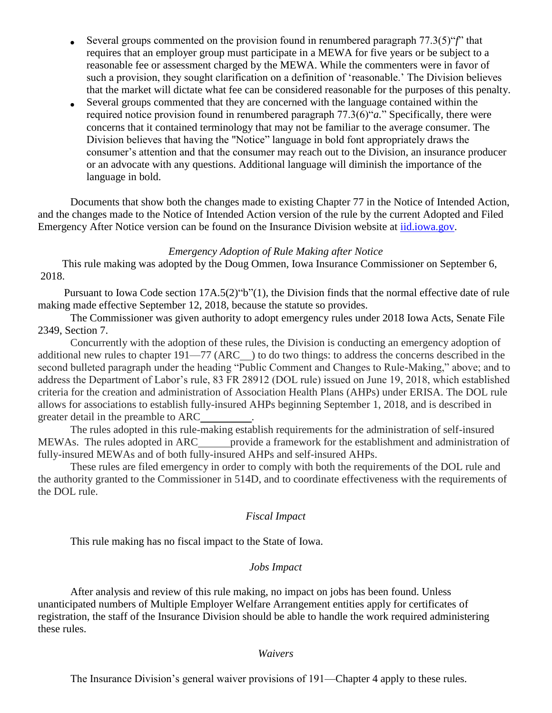- Several groups commented on the provision found in renumbered paragraph 77.3(5)"*f*" that  $\bullet$ requires that an employer group must participate in a MEWA for five years or be subject to a reasonable fee or assessment charged by the MEWA. While the commenters were in favor of such a provision, they sought clarification on a definition of 'reasonable.' The Division believes that the market will dictate what fee can be considered reasonable for the purposes of this penalty.
- Several groups commented that they are concerned with the language contained within the required notice provision found in renumbered paragraph 77.3(6)"*a.*" Specifically, there were concerns that it contained terminology that may not be familiar to the average consumer. The Division believes that having the "Notice" language in bold font appropriately draws the consumer's attention and that the consumer may reach out to the Division, an insurance producer or an advocate with any questions. Additional language will diminish the importance of the language in bold.

Documents that show both the changes made to existing Chapter 77 in the Notice of Intended Action, and the changes made to the Notice of Intended Action version of the rule by the current Adopted and Filed Emergency After Notice version can be found on the Insurance Division website at [iid.iowa.gov.](http://iid.iowa.gov/)

# *Emergency Adoption of Rule Making after Notice*

 This rule making was adopted by the Doug Ommen, Iowa Insurance Commissioner on September 6, 2018.

Pursuant to Iowa Code section 17A.5(2)"b"(1), the Division finds that the normal effective date of rule making made effective September 12, 2018, because the statute so provides.

The Commissioner was given authority to adopt emergency rules under 2018 Iowa Acts, Senate File 2349, Section 7.

Concurrently with the adoption of these rules, the Division is conducting an emergency adoption of additional new rules to chapter 191—77 (ARC ) to do two things: to address the concerns described in the second bulleted paragraph under the heading "Public Comment and Changes to Rule-Making," above; and to address the Department of Labor's rule, 83 FR 28912 (DOL rule) issued on June 19, 2018, which established criteria for the creation and administration of Association Health Plans (AHPs) under ERISA. The DOL rule allows for associations to establish fully-insured AHPs beginning September 1, 2018, and is described in greater detail in the preamble to ARC .

The rules adopted in this rule-making establish requirements for the administration of self-insured MEWAs. The rules adopted in ARC\_\_\_\_\_\_ provide a framework for the establishment and administration of fully-insured MEWAs and of both fully-insured AHPs and self-insured AHPs.

These rules are filed emergency in order to comply with both the requirements of the DOL rule and the authority granted to the Commissioner in 514D, and to coordinate effectiveness with the requirements of the DOL rule.

# *Fiscal Impact*

This rule making has no fiscal impact to the State of Iowa.

# *Jobs Impact*

After analysis and review of this rule making, no impact on jobs has been found. Unless unanticipated numbers of Multiple Employer Welfare Arrangement entities apply for certificates of registration, the staff of the Insurance Division should be able to handle the work required administering these rules.

### *Waivers*

The Insurance Division's general waiver provisions of 191—Chapter 4 apply to these rules.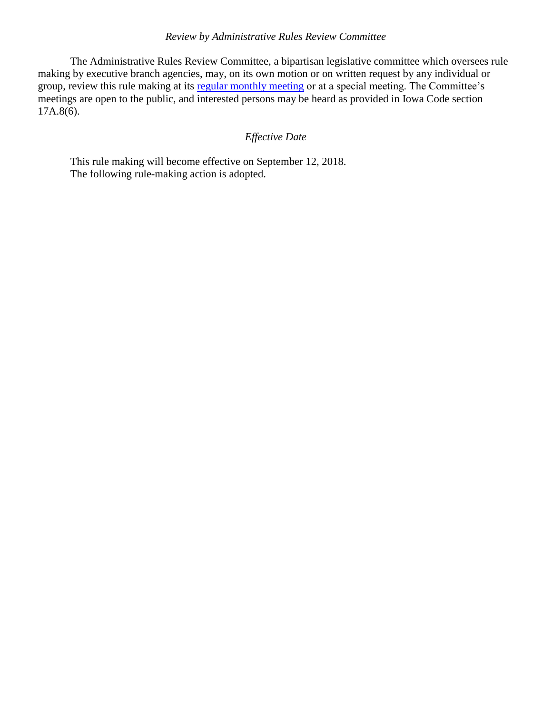# *Review by Administrative Rules Review Committee*

The Administrative Rules Review Committee, a bipartisan legislative committee which oversees rule making by executive branch agencies, may, on its own motion or on written request by any individual or group, review this rule making at its [regular monthly meeting](https://www.legis.iowa.gov/committees/meetings/meetingsListComm?groupID=705&ga=87) or at a special meeting. The Committee's meetings are open to the public, and interested persons may be heard as provided in Iowa Code section  $17A.8(6)$ .

# *Effective Date*

This rule making will become effective on September 12, 2018. The following rule-making action is adopted.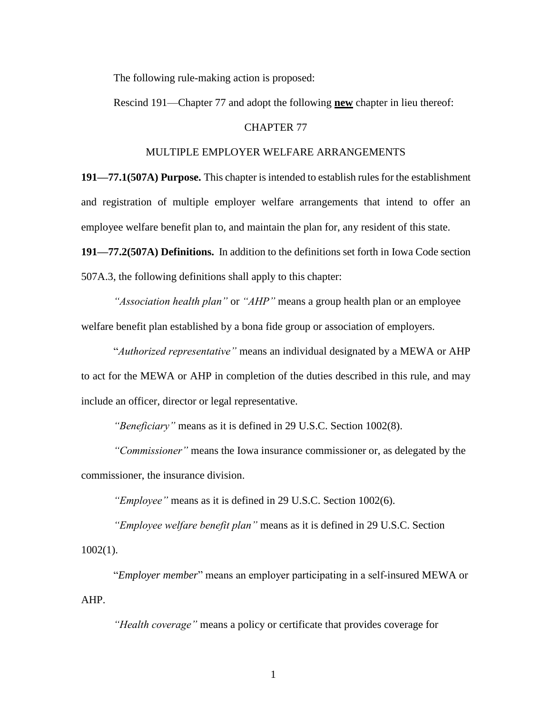The following rule-making action is proposed:

Rescind 191—Chapter 77 and adopt the following **new** chapter in lieu thereof:

#### CHAPTER 77

#### MULTIPLE EMPLOYER WELFARE ARRANGEMENTS

**191—77.1(507A) Purpose.** This chapter is intended to establish rules for the establishment and registration of multiple employer welfare arrangements that intend to offer an employee welfare benefit plan to, and maintain the plan for, any resident of this state.

**191—77.2(507A) Definitions.** In addition to the definitions set forth in Iowa Code section 507A.3, the following definitions shall apply to this chapter:

*"Association health plan"* or *"AHP"* means a group health plan or an employee welfare benefit plan established by a bona fide group or association of employers.

"*Authorized representative"* means an individual designated by a MEWA or AHP to act for the MEWA or AHP in completion of the duties described in this rule, and may include an officer, director or legal representative.

*"Beneficiary"* means as it is defined in 29 U.S.C. Section 1002(8).

*"Commissioner"* means the Iowa insurance commissioner or, as delegated by the commissioner, the insurance division.

*"Employee"* means as it is defined in 29 U.S.C. Section 1002(6).

*"Employee welfare benefit plan"* means as it is defined in 29 U.S.C. Section  $1002(1)$ .

"*Employer member*" means an employer participating in a self-insured MEWA or AHP.

*"Health coverage"* means a policy or certificate that provides coverage for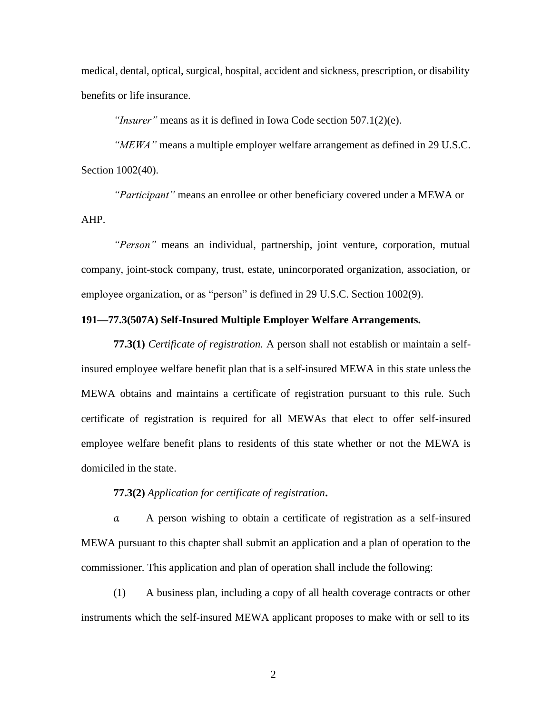medical, dental, optical, surgical, hospital, accident and sickness, prescription, or disability benefits or life insurance.

*"Insurer"* means as it is defined in Iowa Code section 507.1(2)(e).

*"MEWA"* means a multiple employer welfare arrangement as defined in 29 U.S.C. Section  $1002(40)$ .

*"Participant"* means an enrollee or other beneficiary covered under a MEWA or AHP.

*"Person"* means an individual, partnership, joint venture, corporation, mutual company, joint-stock company, trust, estate, unincorporated organization, association, or employee organization, or as "person" is defined in 29 U.S.C. Section 1002(9).

# **191—77.3(507A) Self-Insured Multiple Employer Welfare Arrangements.**

**77.3(1)** *Certificate of registration.* A person shall not establish or maintain a selfinsured employee welfare benefit plan that is a self-insured MEWA in this state unlessthe MEWA obtains and maintains a certificate of registration pursuant to this rule. Such certificate of registration is required for all MEWAs that elect to offer self-insured employee welfare benefit plans to residents of this state whether or not the MEWA is domiciled in the state.

## **77.3(2)** *Application for certificate of registration***.**

*a.* A person wishing to obtain a certificate of registration as a self-insured MEWA pursuant to this chapter shall submit an application and a plan of operation to the commissioner. This application and plan of operation shall include the following:

(1) A business plan, including a copy of all health coverage contracts or other instruments which the self-insured MEWA applicant proposes to make with or sell to its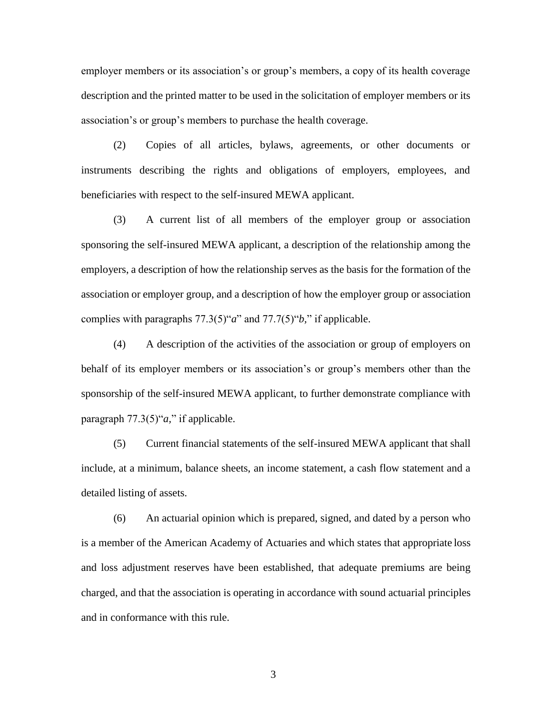employer members or its association's or group's members, a copy of its health coverage description and the printed matter to be used in the solicitation of employer members or its association's or group's members to purchase the health coverage.

(2) Copies of all articles, bylaws, agreements, or other documents or instruments describing the rights and obligations of employers, employees, and beneficiaries with respect to the self-insured MEWA applicant.

(3) A current list of all members of the employer group or association sponsoring the self-insured MEWA applicant, a description of the relationship among the employers, a description of how the relationship serves as the basis for the formation of the association or employer group, and a description of how the employer group or association complies with paragraphs 77.3(5)"*a*" and 77.7(5)"*b,*" if applicable.

(4) A description of the activities of the association or group of employers on behalf of its employer members or its association's or group's members other than the sponsorship of the self-insured MEWA applicant, to further demonstrate compliance with paragraph 77.3(5)"*a,*" if applicable.

(5) Current financial statements of the self-insured MEWA applicant that shall include, at a minimum, balance sheets, an income statement, a cash flow statement and a detailed listing of assets.

(6) An actuarial opinion which is prepared, signed, and dated by a person who is a member of the American Academy of Actuaries and which states that appropriate loss and loss adjustment reserves have been established, that adequate premiums are being charged, and that the association is operating in accordance with sound actuarial principles and in conformance with this rule.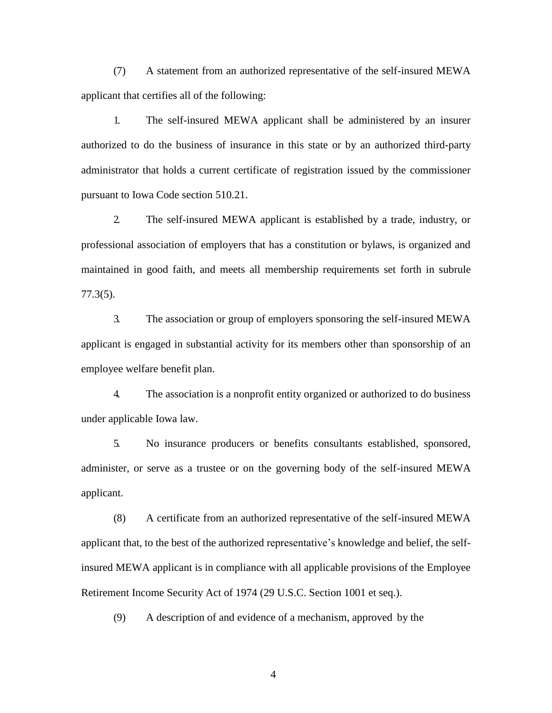(7) A statement from an authorized representative of the self-insured MEWA applicant that certifies all of the following:

1. The self-insured MEWA applicant shall be administered by an insurer authorized to do the business of insurance in this state or by an authorized third-party administrator that holds a current certificate of registration issued by the commissioner pursuant to Iowa Code section [510.21.](https://www.legis.iowa.gov/docs/ico/section/2018/510.21.pdf)

2. The self-insured MEWA applicant is established by a trade, industry, or professional association of employers that has a constitution or bylaws, is organized and maintained in good faith, and meets all membership requirements set forth in subrule 77.3(5).

3. The association or group of employers sponsoring the self-insured MEWA applicant is engaged in substantial activity for its members other than sponsorship of an employee welfare benefit plan.

4. The association is a nonprofit entity organized or authorized to do business under applicable Iowa law.

5. No insurance producers or benefits consultants established, sponsored, administer, or serve as a trustee or on the governing body of the self-insured MEWA applicant.

(8) A certificate from an authorized representative of the self-insured MEWA applicant that, to the best of the authorized representative's knowledge and belief, the selfinsured MEWA applicant is in compliance with all applicable provisions of the Employee Retirement Income Security Act of 1974 (29 U.S.C. Section 1001 et seq.).

(9) A description of and evidence of a mechanism, approved by the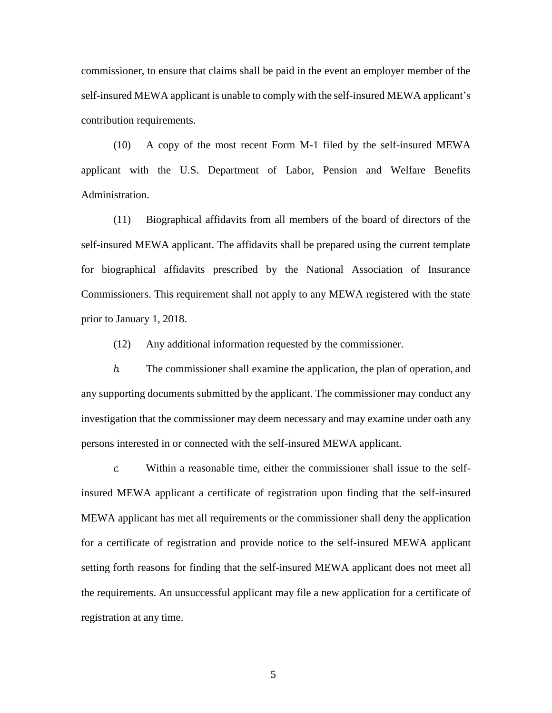commissioner, to ensure that claims shall be paid in the event an employer member of the self-insured MEWA applicant is unable to comply with the self-insured MEWA applicant's contribution requirements.

(10) A copy of the most recent Form M-1 filed by the self-insured MEWA applicant with the U.S. Department of Labor, Pension and Welfare Benefits Administration.

(11) Biographical affidavits from all members of the board of directors of the self-insured MEWA applicant. The affidavits shall be prepared using the current template for biographical affidavits prescribed by the National Association of Insurance Commissioners. This requirement shall not apply to any MEWA registered with the state prior to January 1, 2018.

(12) Any additional information requested by the commissioner.

*b.* The commissioner shall examine the application, the plan of operation, and any supporting documents submitted by the applicant. The commissioner may conduct any investigation that the commissioner may deem necessary and may examine under oath any persons interested in or connected with the self-insured MEWA applicant.

*c.* Within a reasonable time, either the commissioner shall issue to the selfinsured MEWA applicant a certificate of registration upon finding that the self-insured MEWA applicant has met all requirements or the commissioner shall deny the application for a certificate of registration and provide notice to the self-insured MEWA applicant setting forth reasons for finding that the self-insured MEWA applicant does not meet all the requirements. An unsuccessful applicant may file a new application for a certificate of registration at any time.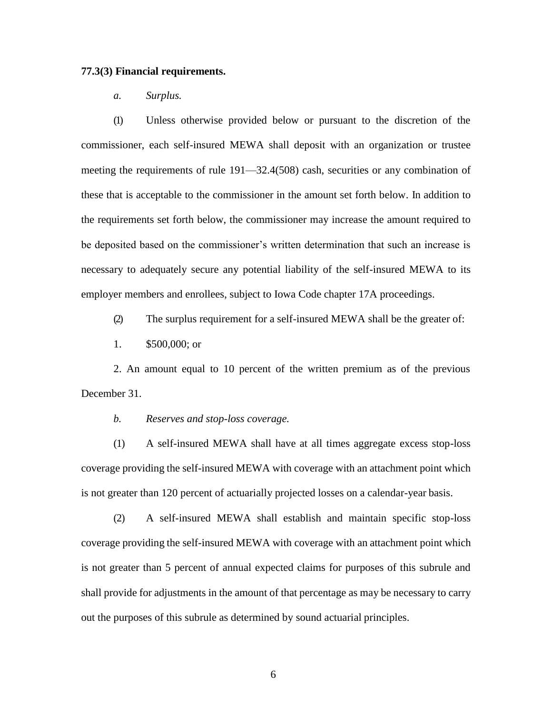## **77.3(3) Financial requirements.**

*a. Surplus.*

(1) Unless otherwise provided below or pursuant to the discretion of the commissioner, each self-insured MEWA shall deposit with an organization or trustee meeting the requirements of rule [191—32.4\(](https://www.legis.iowa.gov/docs/iac/rule/191.32.4.pdf)508) cash, securities or any combination of these that is acceptable to the commissioner in the amount set forth below. In addition to the requirements set forth below, the commissioner may increase the amount required to be deposited based on the commissioner's written determination that such an increase is necessary to adequately secure any potential liability of the self-insured MEWA to its employer members and enrollees, subject to Iowa Code chapter [17A](https://www.legis.iowa.gov/docs/ico/chapter/2018/17A.pdf) proceedings.

(2) The surplus requirement for a self-insured MEWA shall be the greater of:

1. \$500,000; or

2. An amount equal to 10 percent of the written premium as of the previous December 31.

*b. Reserves and stop-loss coverage.*

(1) A self-insured MEWA shall have at all times aggregate excess stop-loss coverage providing the self-insured MEWA with coverage with an attachment point which is not greater than 120 percent of actuarially projected losses on a calendar-year basis.

(2) A self-insured MEWA shall establish and maintain specific stop-loss coverage providing the self-insured MEWA with coverage with an attachment point which is not greater than 5 percent of annual expected claims for purposes of this subrule and shall provide for adjustments in the amount of that percentage as may be necessary to carry out the purposes of this subrule as determined by sound actuarial principles.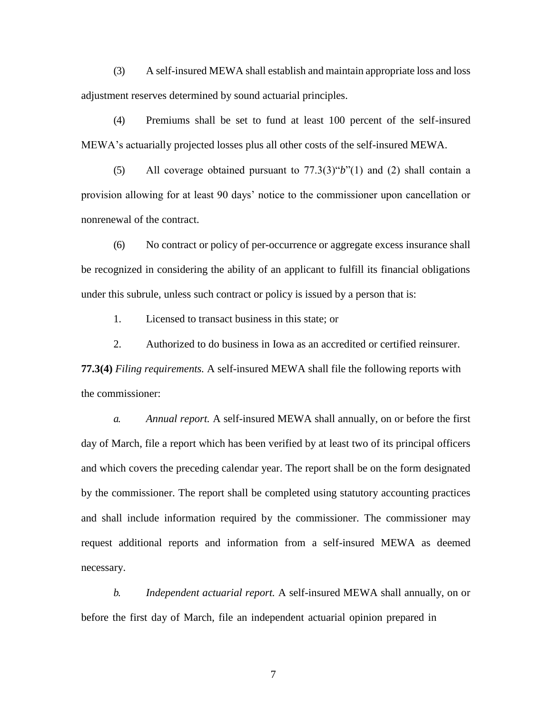(3) A self-insured MEWA shall establish and maintain appropriate loss and loss adjustment reserves determined by sound actuarial principles.

(4) Premiums shall be set to fund at least 100 percent of the self-insured MEWA's actuarially projected losses plus all other costs of the self-insured MEWA.

(5) All coverage obtained pursuant to 77.3(3)"*b*"(1) and (2) shall contain a provision allowing for at least 90 days' notice to the commissioner upon cancellation or nonrenewal of the contract.

(6) No contract or policy of per-occurrence or aggregate excess insurance shall be recognized in considering the ability of an applicant to fulfill its financial obligations under this subrule, unless such contract or policy is issued by a person that is:

1. Licensed to transact business in this state; or

2. Authorized to do business in Iowa as an accredited or certified reinsurer.

**77.3(4)** *Filing requirements.* A self-insured MEWA shall file the following reports with the commissioner:

*a. Annual report.* A self-insured MEWA shall annually, on or before the first day of March, file a report which has been verified by at least two of its principal officers and which covers the preceding calendar year. The report shall be on the form designated by the commissioner. The report shall be completed using statutory accounting practices and shall include information required by the commissioner. The commissioner may request additional reports and information from a self-insured MEWA as deemed necessary.

*b. Independent actuarial report.* A self-insured MEWA shall annually, on or before the first day of March, file an independent actuarial opinion prepared in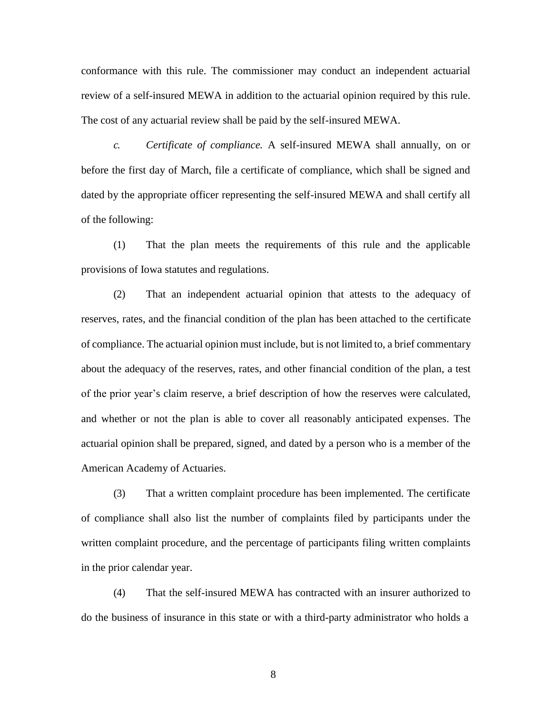conformance with this rule. The commissioner may conduct an independent actuarial review of a self-insured MEWA in addition to the actuarial opinion required by this rule. The cost of any actuarial review shall be paid by the self-insured MEWA.

*c. Certificate of compliance.* A self-insured MEWA shall annually, on or before the first day of March, file a certificate of compliance, which shall be signed and dated by the appropriate officer representing the self-insured MEWA and shall certify all of the following:

(1) That the plan meets the requirements of this rule and the applicable provisions of Iowa statutes and regulations.

(2) That an independent actuarial opinion that attests to the adequacy of reserves, rates, and the financial condition of the plan has been attached to the certificate of compliance. The actuarial opinion must include, but is not limited to, a brief commentary about the adequacy of the reserves, rates, and other financial condition of the plan, a test of the prior year's claim reserve, a brief description of how the reserves were calculated, and whether or not the plan is able to cover all reasonably anticipated expenses. The actuarial opinion shall be prepared, signed, and dated by a person who is a member of the American Academy of Actuaries.

(3) That a written complaint procedure has been implemented. The certificate of compliance shall also list the number of complaints filed by participants under the written complaint procedure, and the percentage of participants filing written complaints in the prior calendar year.

(4) That the self-insured MEWA has contracted with an insurer authorized to do the business of insurance in this state or with a third-party administrator who holds a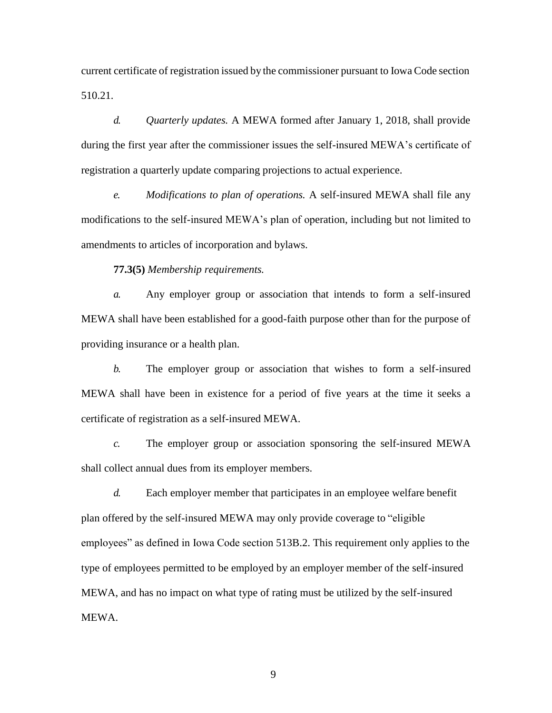current certificate of registration issued by the commissioner pursuant to Iowa Code section [510.21.](https://www.legis.iowa.gov/docs/ico/section/2018/510.21.pdf)

*d. Quarterly updates.* A MEWA formed after January 1, 2018, shall provide during the first year after the commissioner issues the self-insured MEWA's certificate of registration a quarterly update comparing projections to actual experience.

*e. Modifications to plan of operations.* A self-insured MEWA shall file any modifications to the self-insured MEWA's plan of operation, including but not limited to amendments to articles of incorporation and bylaws.

**77.3(5)** *Membership requirements.*

*a.* Any employer group or association that intends to form a self-insured MEWA shall have been established for a good-faith purpose other than for the purpose of providing insurance or a health plan.

*b.* The employer group or association that wishes to form a self-insured MEWA shall have been in existence for a period of five years at the time it seeks a certificate of registration as a self-insured MEWA.

*c.* The employer group or association sponsoring the self-insured MEWA shall collect annual dues from its employer members.

*d.* Each employer member that participates in an employee welfare benefit plan offered by the self-insured MEWA may only provide coverage to "eligible employees" as defined in Iowa Code section 513B.2. This requirement only applies to the type of employees permitted to be employed by an employer member of the self-insured MEWA, and has no impact on what type of rating must be utilized by the self-insured MEWA.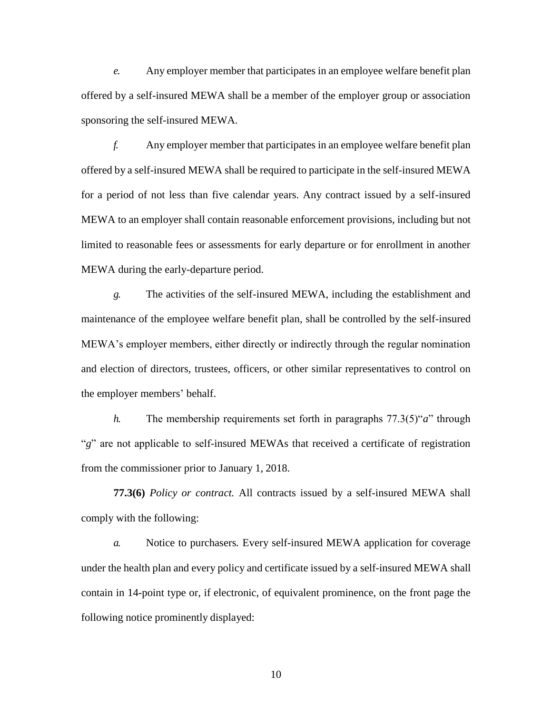*e.* Any employer member that participates in an employee welfare benefit plan offered by a self-insured MEWA shall be a member of the employer group or association sponsoring the self-insured MEWA.

*f.* Any employer member that participates in an employee welfare benefit plan offered by a self-insured MEWA shall be required to participate in the self-insured MEWA for a period of not less than five calendar years. Any contract issued by a self-insured MEWA to an employer shall contain reasonable enforcement provisions, including but not limited to reasonable fees or assessments for early departure or for enrollment in another MEWA during the early-departure period.

*g.* The activities of the self-insured MEWA, including the establishment and maintenance of the employee welfare benefit plan, shall be controlled by the self-insured MEWA's employer members, either directly or indirectly through the regular nomination and election of directors, trustees, officers, or other similar representatives to control on the employer members' behalf.

*h.* The membership requirements set forth in paragraphs 77.3(5)"*a*" through "g" are not applicable to self-insured MEWAs that received a certificate of registration from the commissioner prior to January 1, 2018.

**77.3(6)** *Policy or contract.* All contracts issued by a self-insured MEWA shall comply with the following:

*a.* Notice to purchasers*.* Every self-insured MEWA application for coverage under the health plan and every policy and certificate issued by a self-insured MEWA shall contain in 14-point type or, if electronic, of equivalent prominence, on the front page the following notice prominently displayed: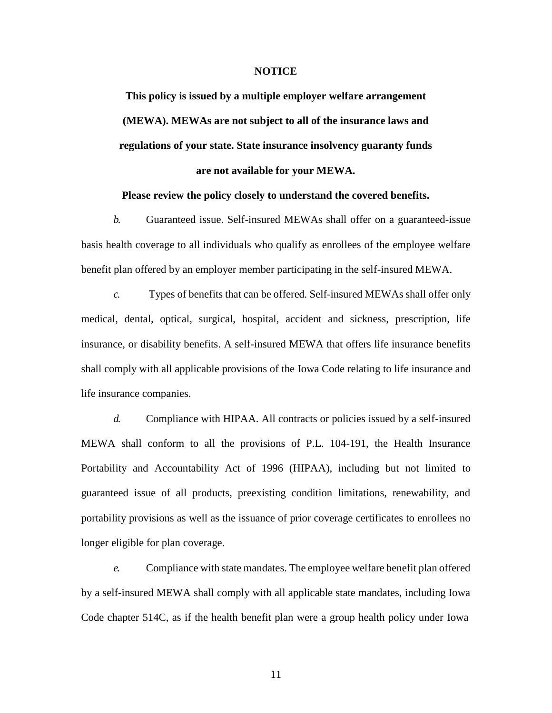## **NOTICE**

**This policy is issued by a multiple employer welfare arrangement (MEWA). MEWAs are not subject to all of the insurance laws and regulations of your state. State insurance insolvency guaranty funds are not available for your MEWA.**

## **Please review the policy closely to understand the covered benefits.**

*b.* Guaranteed issue. Self-insured MEWAs shall offer on a guaranteed-issue basis health coverage to all individuals who qualify as enrollees of the employee welfare benefit plan offered by an employer member participating in the self-insured MEWA.

*c.* Types of benefits that can be offered*.* Self-insured MEWAs shall offer only medical, dental, optical, surgical, hospital, accident and sickness, prescription, life insurance, or disability benefits. A self-insured MEWA that offers life insurance benefits shall comply with all applicable provisions of the Iowa Code relating to life insurance and life insurance companies.

*d.* Compliance with HIPAA*.* All contracts or policies issued by a self-insured MEWA shall conform to all the provisions of P.L. 104-191, the Health Insurance Portability and Accountability Act of 1996 (HIPAA), including but not limited to guaranteed issue of all products, preexisting condition limitations, renewability, and portability provisions as well as the issuance of prior coverage certificates to enrollees no longer eligible for plan coverage.

*e.* Compliance with state mandates. The employee welfare benefit plan offered by a self-insured MEWA shall comply with all applicable state mandates, including Iowa Code chapter [514C,](https://www.legis.iowa.gov/docs/ico/chapter/2018/514C.pdf) as if the health benefit plan were a group health policy under Iowa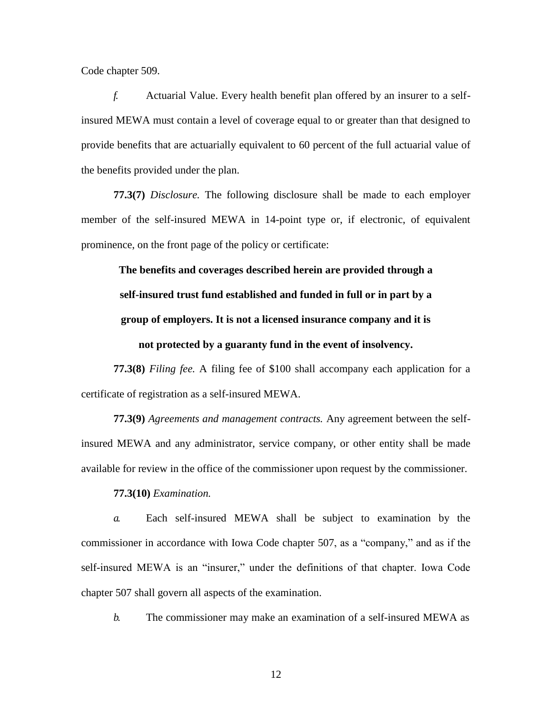Code chapter 509.

*f.* Actuarial Value. Every health benefit plan offered by an insurer to a selfinsured MEWA must contain a level of coverage equal to or greater than that designed to provide benefits that are actuarially equivalent to 60 percent of the full actuarial value of the benefits provided under the plan.

**77.3(7)** *Disclosure.* The following disclosure shall be made to each employer member of the self-insured MEWA in 14-point type or, if electronic, of equivalent prominence, on the front page of the policy or certificate:

**The benefits and coverages described herein are provided through a self-insured trust fund established and funded in full or in part by a group of employers. It is not a licensed insurance company and it is not protected by a guaranty fund in the event of insolvency.**

**77.3(8)** *Filing fee.* A filing fee of \$100 shall accompany each application for a certificate of registration as a self-insured MEWA.

**77.3(9)** *Agreements and management contracts.* Any agreement between the selfinsured MEWA and any administrator, service company, or other entity shall be made available for review in the office of the commissioner upon request by the commissioner.

**77.3(10)** *Examination.*

*a.* Each self-insured MEWA shall be subject to examination by the commissioner in accordance with Iowa Code chapter [507,](https://www.legis.iowa.gov/docs/ico/chapter/2018/507.pdf) as a "company," and as if the self-insured MEWA is an "insurer," under the definitions of that chapter. Iowa Code chapter [507](https://www.legis.iowa.gov/docs/ico/chapter/2018/507.pdf) shall govern all aspects of the examination.

*b.* The commissioner may make an examination of a self-insured MEWA as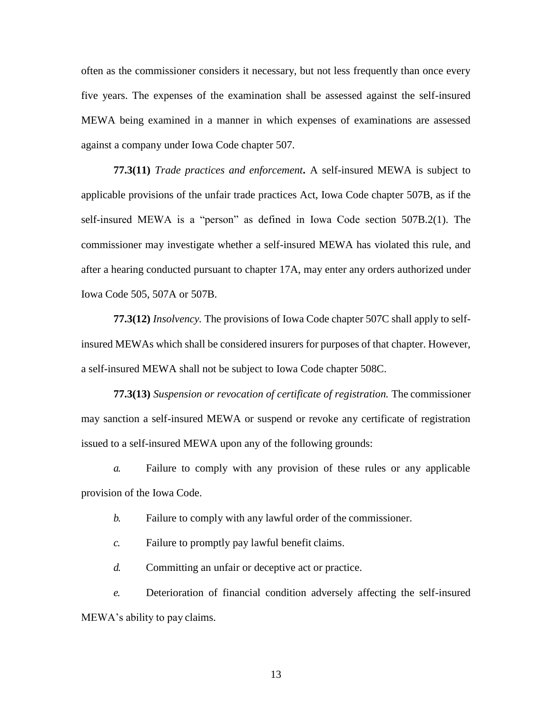often as the commissioner considers it necessary, but not less frequently than once every five years. The expenses of the examination shall be assessed against the self-insured MEWA being examined in a manner in which expenses of examinations are assessed against a company under Iowa Code chapter [507.](https://www.legis.iowa.gov/docs/ico/chapter/2018/507.pdf)

**77.3(11)** *Trade practices and enforcement***.** A self-insured MEWA is subject to applicable provisions of the unfair trade practices Act, Iowa Code chapter [507B, a](https://www.legis.iowa.gov/docs/ico/chapter/2018/507B.pdf)s if the self-insured MEWA is a "person" as defined in Iowa Code section [507B.2\(1\).](https://www.legis.iowa.gov/docs/ico/section/2018/507B.2.pdf) The commissioner may investigate whether a self-insured MEWA has violated this rule, and after a hearing conducted pursuant to chapter 17A, may enter any orders authorized under Iowa Code 505, 507A or 507B.

**77.3(12)** *Insolvency.* The provisions of Iowa Code chapter [507C](https://www.legis.iowa.gov/docs/ico/chapter/2018/507C.pdf) shall apply to selfinsured MEWAs which shall be considered insurers for purposes of that chapter. However, a self-insured MEWA shall not be subject to Iowa Code chapter [508C.](https://www.legis.iowa.gov/docs/ico/chapter/2018/508C.pdf)

**77.3(13)** *Suspension or revocation of certificate of registration.* The commissioner may sanction a self-insured MEWA or suspend or revoke any certificate of registration issued to a self-insured MEWA upon any of the following grounds:

*a.* Failure to comply with any provision of these rules or any applicable provision of the Iowa Code.

*b.* Failure to comply with any lawful order of the commissioner.

*c.* Failure to promptly pay lawful benefit claims.

*d.* Committing an unfair or deceptive act or practice.

*e.* Deterioration of financial condition adversely affecting the self-insured MEWA's ability to pay claims.